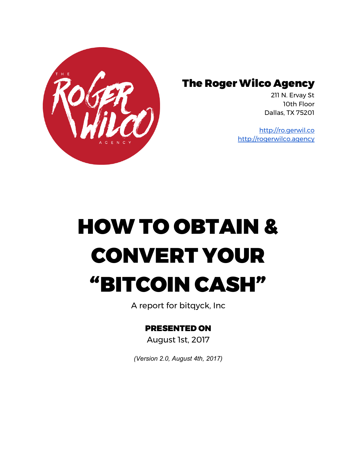

### The Roger Wilco Agency

211 N. Ervay St 10th Floor Dallas, TX 75201

[http://ro.gerwil.co](http://ro.gerwil.co/) [http://rogerwilco.agency](http://rogerwilco.agency/)

# HOW TO OBTAIN & CONVERT YOUR "BITCOIN CASH"

A report for bitqyck, Inc

#### PRESENTED ON

August 1st, 2017

*(Version 2.0, August 4th, 2017)*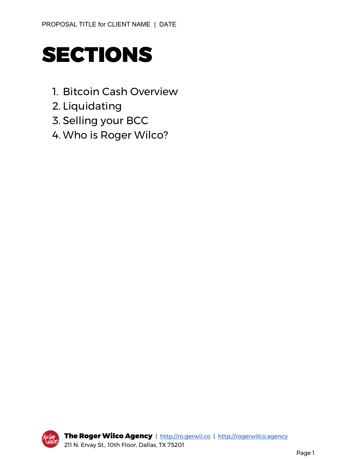

- 1. Bitcoin Cash Overview
- 2. Liquidating
- 3. Selling your BCC
- 4. Who is Roger Wilco?

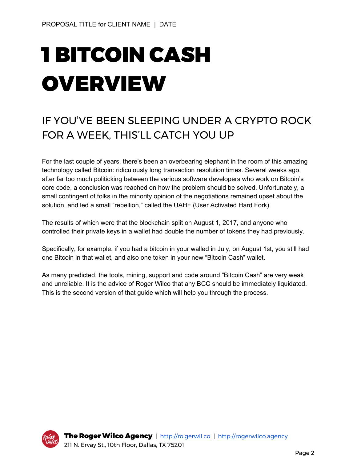# 1 BITCOIN CASH OVERVIEW

## IF YOU'VE BEEN SLEEPING UNDER A CRYPTO ROCK FOR A WEEK, THIS'LL CATCH YOU UP

For the last couple of years, there's been an overbearing elephant in the room of this amazing technology called Bitcoin: ridiculously long transaction resolution times. Several weeks ago, after far too much politicking between the various software developers who work on Bitcoin's core code, a conclusion was reached on how the problem should be solved. Unfortunately, a small contingent of folks in the minority opinion of the negotiations remained upset about the solution, and led a small "rebellion," called the UAHF (User Activated Hard Fork).

The results of which were that the blockchain split on August 1, 2017, and anyone who controlled their private keys in a wallet had double the number of tokens they had previously.

Specifically, for example, if you had a bitcoin in your walled in July, on August 1st, you still had one Bitcoin in that wallet, and also one token in your new "Bitcoin Cash" wallet.

As many predicted, the tools, mining, support and code around "Bitcoin Cash" are very weak and unreliable. It is the advice of Roger Wilco that any BCC should be immediately liquidated. This is the second version of that guide which will help you through the process.

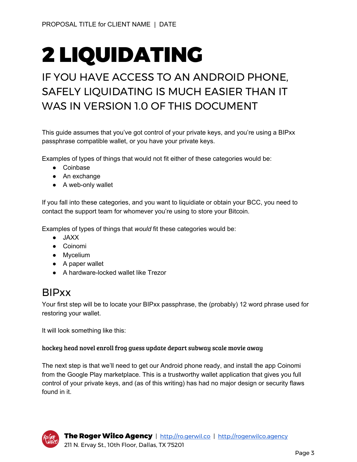## 2 LIQUIDATING

## IF YOU HAVE ACCESS TO AN ANDROID PHONE, SAFELY LIQUIDATING IS MUCH EASIER THAN IT WAS IN VERSION 1.0 OF THIS DOCUMENT

This guide assumes that you've got control of your private keys, and you're using a BIPxx passphrase compatible wallet, or you have your private keys.

Examples of types of things that would not fit either of these categories would be:

- Coinbase
- An exchange
- A web-only wallet

If you fall into these categories, and you want to liquidiate or obtain your BCC, you need to contact the support team for whomever you're using to store your Bitcoin.

Examples of types of things that *would* fit these categories would be:

- JAXX
- Coinomi
- Mycelium
- A paper wallet
- A hardware-locked wallet like Trezor

### BIPxx

Your first step will be to locate your BIPxx passphrase, the (probably) 12 word phrase used for restoring your wallet.

It will look something like this:

#### hockey head novel enroll frog guess update depart subway scale movie away

The next step is that we'll need to get our Android phone ready, and install the app Coinomi from the Google Play marketplace. This is a trustworthy wallet application that gives you full control of your private keys, and (as of this writing) has had no major design or security flaws found in it.

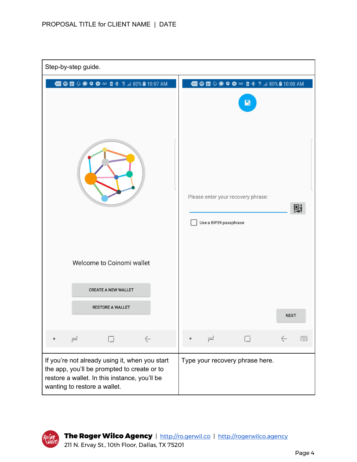| Step-by-step guide.                                                                                                                                                            |                                                                                                                       |
|--------------------------------------------------------------------------------------------------------------------------------------------------------------------------------|-----------------------------------------------------------------------------------------------------------------------|
| <b>● 団 〇 ● ● ● ∞ 8 多 第 .11 80% ■ 10:07 AM</b>                                                                                                                                  | <b>□●団◇●●●</b> ● ● ■● 10:08 AM<br>$\blacksquare$<br>Please enter your recovery phrase:<br>剽<br>Use a BIP39 passphrase |
| Welcome to Coinomi wallet<br><b>CREATE A NEW WALLET</b><br><b>RESTORE A WALLET</b>                                                                                             | <b>NEXT</b>                                                                                                           |
| $\leftarrow$<br>$\overline{\phantom{a}}$<br>$\Box$                                                                                                                             | 画<br>囗<br>≓                                                                                                           |
| If you're not already using it, when you start<br>the app, you'll be prompted to create or to<br>restore a wallet. In this instance, you'll be<br>wanting to restore a wallet. | Type your recovery phrase here.                                                                                       |

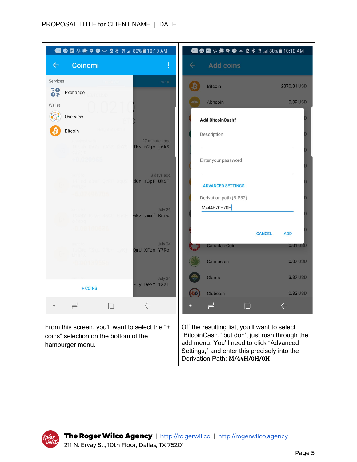#### PROPOSAL TITLE for CLIENT NAME | DATE

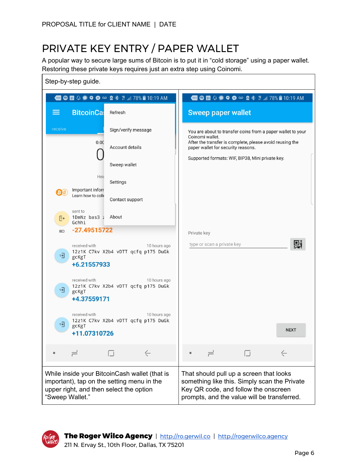## PRIVATE KEY ENTRY / PAPER WALLET

A popular way to secure large sums of Bitcoin is to put it in "cold storage" using a paper wallet. Restoring these private keys requires just an extra step using Coinomi.

|                         | Step-by-step guide.                                                                                                                    |                                     |              |             |                                    |                                                                                                                                                                                |              |   |
|-------------------------|----------------------------------------------------------------------------------------------------------------------------------------|-------------------------------------|--------------|-------------|------------------------------------|--------------------------------------------------------------------------------------------------------------------------------------------------------------------------------|--------------|---|
|                         | <b>□●固○●●◎◎图*#』78%自10:19 AM</b>                                                                                                        |                                     |              |             |                                    | <b>□●団↓●●●◎</b> ● ● ■● # # 78%■10:19 AM                                                                                                                                        |              |   |
|                         | <b>BitcoinCas</b>                                                                                                                      | Refresh                             |              |             | <b>Sweep paper wallet</b>          |                                                                                                                                                                                |              |   |
| receive                 |                                                                                                                                        | Sign/verify message                 |              |             | Coinomi wallet.                    | You are about to transfer coins from a paper wallet to your                                                                                                                    |              |   |
|                         | 0.00                                                                                                                                   | Account details                     |              |             | paper wallet for security reasons. | After the transfer is complete, please avoid reusing the                                                                                                                       |              |   |
|                         |                                                                                                                                        | Sweep wallet                        |              |             |                                    | Supported formats: WIF, BIP38, Mini private key.                                                                                                                               |              |   |
|                         | Heir                                                                                                                                   | Settings                            |              |             |                                    |                                                                                                                                                                                |              |   |
|                         | Important inforr<br>Learn how to colle                                                                                                 | Contact support                     |              |             |                                    |                                                                                                                                                                                |              |   |
| E٠                      | sent to<br>1DmNz bas3 ; About<br>Gchhi                                                                                                 |                                     |              |             |                                    |                                                                                                                                                                                |              |   |
| $\sqrt{10}$             | $-27.49515722$                                                                                                                         |                                     |              | Private key |                                    |                                                                                                                                                                                |              |   |
| 코이                      | received with<br>gcKgT<br>+6.21557933                                                                                                  | 12z1K C7kv X2b4 vDTT qcfq p175 DuGk | 10 hours ago |             | type or scan a private key         |                                                                                                                                                                                |              | 毁 |
| $\overline{\mathbb{R}}$ | received with<br>gcKgT<br>+4.37559171                                                                                                  | 12z1K C7kv X2b4 vDTT qcfq p175 DuGk | 10 hours ago |             |                                    |                                                                                                                                                                                |              |   |
| $=$                     | received with<br>gcKgT<br>+11.07310726                                                                                                 | 12z1K C7kv X2b4 vDTT qcfq p175 DuGk | 10 hours ago |             |                                    |                                                                                                                                                                                | <b>NEXT</b>  |   |
|                         | $\rightleftharpoons$                                                                                                                   | $\Box$                              | $\leftarrow$ |             | ٣                                  | $\Box$                                                                                                                                                                         | $\leftarrow$ |   |
| "Sweep Wallet."         | While inside your BitcoinCash wallet (that is<br>important), tap on the setting menu in the<br>upper right, and then select the option |                                     |              |             |                                    | That should pull up a screen that looks<br>something like this. Simply scan the Private<br>Key QR code, and follow the onscreen<br>prompts, and the value will be transferred. |              |   |

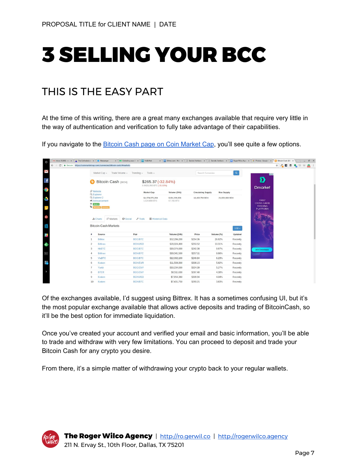## 3 SELLING YOUR BCC

### THIS IS THE EASY PART

At the time of this writing, there are a great many exchanges available that require very little in the way of authentication and verification to fully take advantage of their capabilities.

If you navigate to the **Bitcoin Cash page on Coin [Market](https://coinmarketcap.com/currencies/bitcoin-cash/#markets) Cap**, you'll see quite a few options.

| $\circ$<br>$\leftarrow$ $\rightarrow$ | M Inbox (1,308) - m $x \times x$ The Cathedral and $x \times y$ Messenger<br>$\times$ We Collecting your (1 $\times$ You YoBit.Net<br>C & Secure https://coinmarketcap.com/currencies/bitcoin-cash/#markets |                                       |                                                |                           |                   | x V El Bittrex.com - Wall x V [t] Barista Ventures x V [t] Barista Ventures x V El Roger Wilco Agen x V & Photos - Google F x V © Bitcoin Cash (BC) x<br>☆ / ◎ ● |
|---------------------------------------|-------------------------------------------------------------------------------------------------------------------------------------------------------------------------------------------------------------|---------------------------------------|------------------------------------------------|---------------------------|-------------------|------------------------------------------------------------------------------------------------------------------------------------------------------------------|
| Σ                                     | Market Cap - Trade Volume -                                                                                                                                                                                 | Trending $\star$ Tools $\star$        |                                                |                           |                   | $\alpha$                                                                                                                                                         |
| $\mathbf{f}$                          | Bitcoin Cash (BCH)<br>B                                                                                                                                                                                     |                                       | \$265.37 (-32.84%)<br>0.09251350 BTC (-35.63%) |                           |                   | D<br><b>Dmarket</b>                                                                                                                                              |
| $\overline{Q}$                        | S Website<br>Q Explorer                                                                                                                                                                                     | <b>Market Cap</b>                     | Volume (24h)                                   | <b>Circulating Supply</b> | <b>Max Supply</b> |                                                                                                                                                                  |
| Ó                                     | Q Explorer 2<br>Announcement<br>$\overline{\mathbf{X}}$ Rank 4                                                                                                                                              | \$4,374,070,284<br>1,524,880 BTC      | \$194,239,000<br>67,715 BTC                    | 16,482,788 BCH            | 21,000,000 BCH    | <b>FIRST</b><br><b>CROSS-GAME</b>                                                                                                                                |
|                                       | Mineable Currency                                                                                                                                                                                           |                                       |                                                |                           |                   | <b>TRADING</b><br><b>PLATFORM</b>                                                                                                                                |
| $G^+$                                 | <b>O</b> Social<br>₩ Markets<br>Ill Charts                                                                                                                                                                  | $F$ Tools<br><b>■ Historical Data</b> |                                                |                           |                   |                                                                                                                                                                  |
| 爲                                     | <b>Bitcoin Cash Markets</b>                                                                                                                                                                                 |                                       |                                                |                           |                   | $USD -$                                                                                                                                                          |
| $\mathbf{s}$                          | Pair<br>Source                                                                                                                                                                                              |                                       | Volume (24h)                                   | Price                     | Volume (%)        | <b>Updated</b>                                                                                                                                                   |
|                                       | <b>Bittrex</b>                                                                                                                                                                                              | <b>BCC/BTC</b>                        | \$52,296,200                                   | \$254.36                  | 26.92%            | Recently                                                                                                                                                         |
| $\pmb{\lambda}$                       | <b>Bitfinex</b><br>$\overline{c}$                                                                                                                                                                           | <b>BCH/USD</b>                        | \$20,024,400                                   | \$253.52                  | 10.31%            | Recently                                                                                                                                                         |
|                                       | <b>HitBTC</b><br>3                                                                                                                                                                                          | <b>BCC/BTC</b>                        | \$19,374,600                                   | \$242.38                  | 9.97%             | Recently<br><b>Join Crowdsale</b>                                                                                                                                |
| $\rightarrow -$                       | <b>Bitfinex</b><br>$\overline{4}$                                                                                                                                                                           | <b>BCH/BTC</b>                        | \$19,341,500                                   | \$257.11                  | 9.96%             | Recently                                                                                                                                                         |
|                                       | <b>ViaBTC</b><br>5                                                                                                                                                                                          | <b>BCC/BTC</b>                        | \$12,092,100                                   | \$249.84                  | 6.23%             | Recently                                                                                                                                                         |
|                                       |                                                                                                                                                                                                             | <b>BCH/EUR</b>                        | \$11,500,300                                   | \$308.15                  | 5.92%             | Recently                                                                                                                                                         |
|                                       | 6<br>Kraken                                                                                                                                                                                                 |                                       |                                                |                           |                   |                                                                                                                                                                  |
|                                       | Yunbi                                                                                                                                                                                                       | <b>BCC/CNY</b>                        | \$10,234,000                                   | \$324.39                  | 5.27%             | Recently                                                                                                                                                         |
| E.<br>$\rightarrow$                   | <b>BTER</b><br>8<br>Kraken<br>9                                                                                                                                                                             | <b>BCC/CNY</b><br><b>BCH/USD</b>      | \$8,511,630<br>\$7,854,380                     | \$267.40<br>\$309.94      | 4.38%<br>4.04%    | Recently<br>Recently                                                                                                                                             |

Of the exchanges available, I'd suggest using Bittrex. It has a sometimes confusing UI, but it's the most popular exchange available that allows active deposits and trading of BitcoinCash, so it'll be the best option for immediate liquidation.

Once you've created your account and verified your email and basic information, you'll be able to trade and withdraw with very few limitations. You can proceed to deposit and trade your Bitcoin Cash for any crypto you desire.

From there, it's a simple matter of withdrawing your crypto back to your regular wallets.